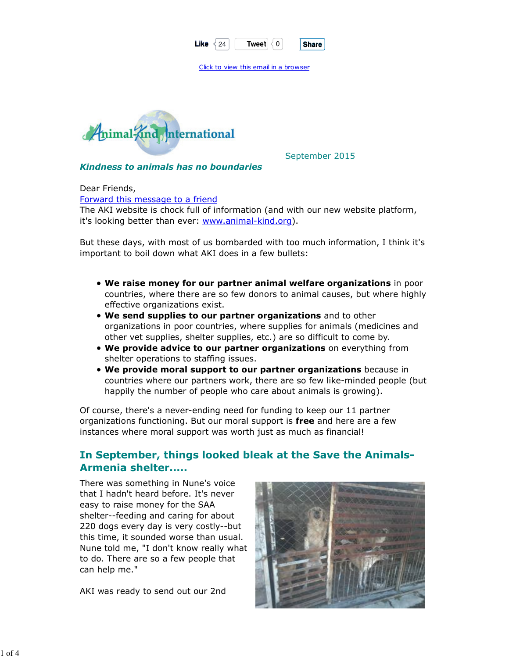| Like | Tweet | <b>Share</b> |
|------|-------|--------------|
|      |       |              |

Click to view this email in a browser



September 2015

Kindness to animals has no boundaries

Dear Friends, Forward this message to a friend The AKI website is chock full of information (and with our new website platform, it's looking better than ever: www.animal-kind.org).

But these days, with most of us bombarded with too much information, I think it's important to boil down what AKI does in a few bullets:

- We raise money for our partner animal welfare organizations in poor countries, where there are so few donors to animal causes, but where highly effective organizations exist.
- We send supplies to our partner organizations and to other organizations in poor countries, where supplies for animals (medicines and other vet supplies, shelter supplies, etc.) are so difficult to come by.
- We provide advice to our partner organizations on everything from shelter operations to staffing issues.
- We provide moral support to our partner organizations because in countries where our partners work, there are so few like-minded people (but happily the number of people who care about animals is growing).

Of course, there's a never-ending need for funding to keep our 11 partner organizations functioning. But our moral support is free and here are a few instances where moral support was worth just as much as financial!

# In September, things looked bleak at the Save the Animals-Armenia shelter.....

There was something in Nune's voice that I hadn't heard before. It's never easy to raise money for the SAA shelter--feeding and caring for about 220 dogs every day is very costly--but this time, it sounded worse than usual. Nune told me, "I don't know really what to do. There are so a few people that can help me."

AKI was ready to send out our 2nd

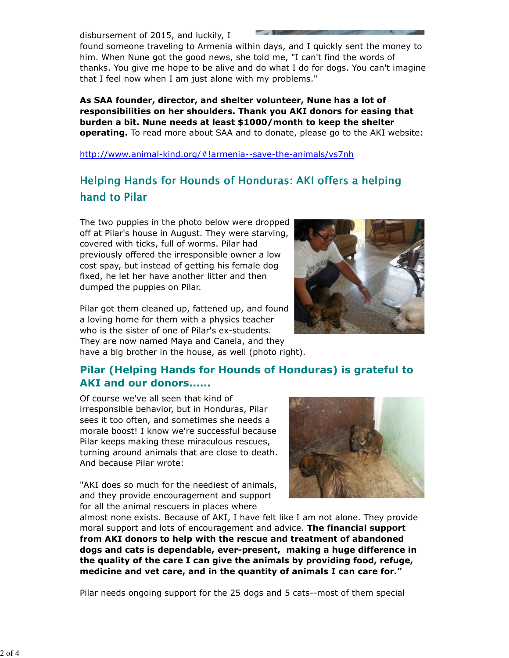disbursement of 2015, and luckily, I

found someone traveling to Armenia within days, and I quickly sent the money to him. When Nune got the good news, she told me, "I can't find the words of thanks. You give me hope to be alive and do what I do for dogs. You can't imagine that I feel now when I am just alone with my problems."

As SAA founder, director, and shelter volunteer, Nune has a lot of responsibilities on her shoulders. Thank you AKI donors for easing that burden a bit. Nune needs at least \$1000/month to keep the shelter operating. To read more about SAA and to donate, please go to the AKI website:

http://www.animal-kind.org/#!armenia--save-the-animals/vs7nh

# Helping Hands for Hounds of Honduras: AKI offers a helping hand to Pilar

The two puppies in the photo below were dropped off at Pilar's house in August. They were starving, covered with ticks, full of worms. Pilar had previously offered the irresponsible owner a low cost spay, but instead of getting his female dog fixed, he let her have another litter and then dumped the puppies on Pilar.

Pilar got them cleaned up, fattened up, and found a loving home for them with a physics teacher who is the sister of one of Pilar's ex-students. They are now named Maya and Canela, and they have a big brother in the house, as well (photo right).



# Pilar (Helping Hands for Hounds of Honduras) is grateful to AKI and our donors......

Of course we've all seen that kind of irresponsible behavior, but in Honduras, Pilar sees it too often, and sometimes she needs a morale boost! I know we're successful because Pilar keeps making these miraculous rescues, turning around animals that are close to death. And because Pilar wrote:

"AKI does so much for the neediest of animals, and they provide encouragement and support for all the animal rescuers in places where



almost none exists. Because of AKI, I have felt like I am not alone. They provide moral support and lots of encouragement and advice. The financial support from AKI donors to help with the rescue and treatment of abandoned dogs and cats is dependable, ever-present, making a huge difference in the quality of the care I can give the animals by providing food, refuge, medicine and vet care, and in the quantity of animals I can care for."

Pilar needs ongoing support for the 25 dogs and 5 cats--most of them special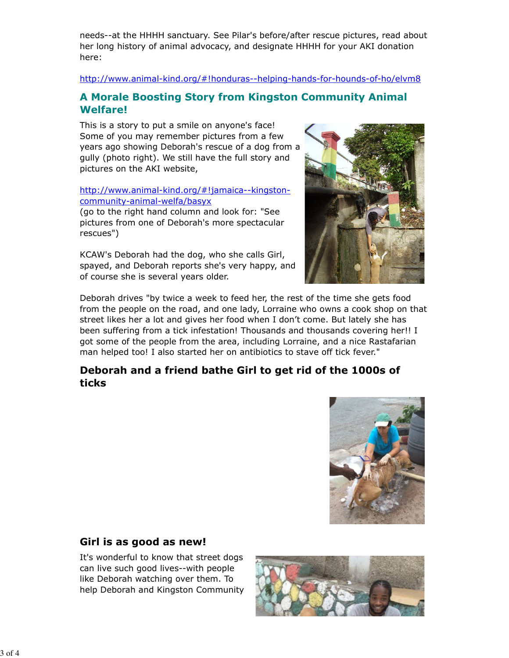needs--at the HHHH sanctuary. See Pilar's before/after rescue pictures, read about her long history of animal advocacy, and designate HHHH for your AKI donation here:

http://www.animal-kind.org/#!honduras--helping-hands-for-hounds-of-ho/elvm8

### A Morale Boosting Story from Kingston Community Animal Welfare!

This is a story to put a smile on anyone's face! Some of you may remember pictures from a few years ago showing Deborah's rescue of a dog from a gully (photo right). We still have the full story and pictures on the AKI website,

#### http://www.animal-kind.org/#!jamaica--kingstoncommunity-animal-welfa/basyx

(go to the right hand column and look for: "See pictures from one of Deborah's more spectacular rescues")

KCAW's Deborah had the dog, who she calls Girl, spayed, and Deborah reports she's very happy, and of course she is several years older.



Deborah drives "by twice a week to feed her, the rest of the time she gets food from the people on the road, and one lady, Lorraine who owns a cook shop on that street likes her a lot and gives her food when I don't come. But lately she has been suffering from a tick infestation! Thousands and thousands covering her!! I got some of the people from the area, including Lorraine, and a nice Rastafarian man helped too! I also started her on antibiotics to stave off tick fever."

### Deborah and a friend bathe Girl to get rid of the 1000s of ticks



### Girl is as good as new!

It's wonderful to know that street dogs can live such good lives--with people like Deborah watching over them. To help Deborah and Kingston Community